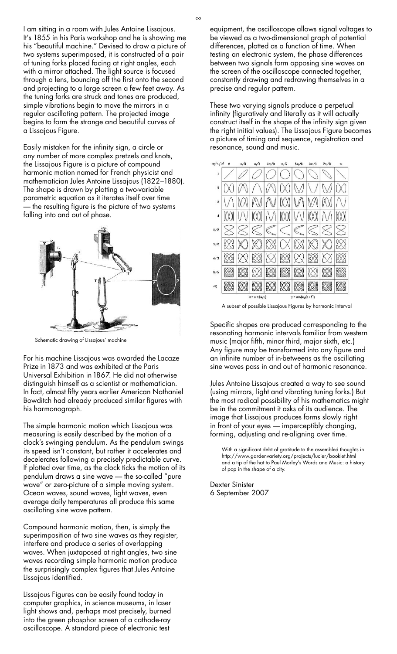I am sitting in a room with Jules Antoine Lissajous. It's 1855 in his Paris workshop and he is showing me his "beautiful machine." Devised to draw a picture of two systems superimposed, it is constructed of a pair of tuning forks placed facing at right angles, each with a mirror attached. The light source is focused through a lens, bouncing off the first onto the second and projecting to a large screen a few feet away. As the tuning forks are struck and tones are produced, simple vibrations begin to move the mirrors in a regular oscillating pattern. The projected image begins to form the strange and beautiful curves of a Lissajous Figure.

Easily mistaken for the infinity sign, a circle or any number of more complex pretzels and knots, the Lissajous Figure is a picture of compound harmonic motion named for French physicist and mathematician Jules Antoine Lissajous (1822–1880). The shape is drawn by plotting a two-variable parametric equation as it iterates itself over time — the resulting figure is the picture of two systems falling into and out of phase.



Schematic drawing of Lissajous' machine

For his machine Lissajous was awarded the Lacaze Prize in 1873 and was exhibited at the Paris Universal Exhibition in1867. He did not otherwise distinguish himself as a scientist or mathematician. In fact, almost fifty years earlier American Nathaniel Bowditch had already produced similar figures with his harmonograph.

The simple harmonic motion which Lissajous was measuring is easily described by the motion of a clock's swinging pendulum. As the pendulum swings its speed isn't constant, but rather it accelerates and decelerates following a precisely predictable curve. If plotted over time, as the clock ticks the motion of its pendulum draws a sine wave — the so-called "pure wave" or zero-picture of a simple moving system. Ocean waves, sound waves, light waves, even average daily temperatures all produce this same oscillating sine wave pattern.

Compound harmonic motion, then, is simply the superimposition of two sine waves as they register, interfere and produce a series of overlapping waves. When juxtaposed at right angles, two sine waves recording simple harmonic motion produce the surprisingly complex figures that Jules Antoine Lissajous identified.

Lissajous Figures can be easily found today in computer graphics, in science museums, in laser light shows and, perhaps most precisely, burned into the green phosphor screen of a cathode-ray oscilloscope. A standard piece of electronic test

equipment, the oscilloscope allows signal voltages to be viewed as a two-dimensional graph of potential differences, plotted as a function of time. When testing an electronic system, the phase differences between two signals form opposing sine waves on the screen of the oscilloscope connected together, constantly drawing and redrawing themselves in a precise and regular pattern.

These two varying signals produce a perpetual infinity (figuratively and literally as it will actually construct itself in the shape of the infinity sign given the right initial values). The Lissajous Figure becomes a picture of timing and sequence, registration and resonance, sound and music.



A subset of possible Lissajous Figures by harmonic interval

Specific shapes are produced corresponding to the resonating harmonic intervals familiar from western music (major fifth, minor third, major sixth, etc.) Any figure may be transformed into any figure and an infinite number of in-betweens as the oscillating sine waves pass in and out of harmonic resonance.

Jules Antoine Lissajous created a way to see sound (using mirrors, light and vibrating tuning forks.) But the most radical possibility of his mathematics might be in the commitment it asks of its audience. The image that Lissajous produces forms slowly right in front of your eyes — imperceptibly changing, forming, adjusting and re-aligning over time.

With a significant debt of gratitude to the assembled thoughts in http://www.gardenvariety.org/projects/lucier/booklet.html and a tip of the hat to Paul Morley's Words and Music: a history of pop in the shape of a city.

Dexter Sinister 6 September 2007